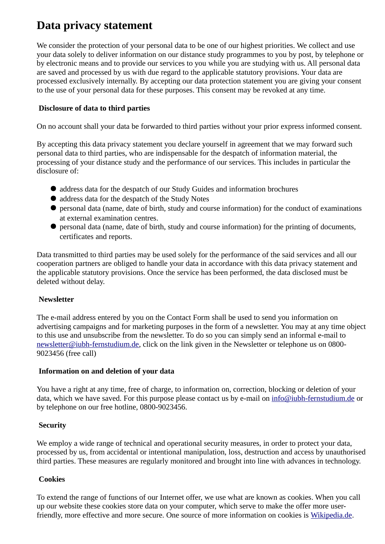# **Data privacy statement**

We consider the protection of your personal data to be one of our highest priorities. We collect and use your data solely to deliver information on our distance study programmes to you by post, by telephone or by electronic means and to provide our services to you while you are studying with us. All personal data are saved and processed by us with due regard to the applicable statutory provisions. Your data are processed exclusively internally. By accepting our data protection statement you are giving your consent to the use of your personal data for these purposes. This consent may be revoked at any time.

# **Disclosure of data to third parties**

On no account shall your data be forwarded to third parties without your prior express informed consent.

By accepting this data privacy statement you declare yourself in agreement that we may forward such personal data to third parties, who are indispensable for the despatch of information material, the processing of your distance study and the performance of our services. This includes in particular the disclosure of:

- address data for the despatch of our Study Guides and information brochures
- address data for the despatch of the Study Notes
- personal data (name, date of birth, study and course information) for the conduct of examinations at external examination centres.
- personal data (name, date of birth, study and course information) for the printing of documents, certificates and reports.

Data transmitted to third parties may be used solely for the performance of the said services and all our cooperation partners are obliged to handle your data in accordance with this data privacy statement and the applicable statutory provisions. Once the service has been performed, the data disclosed must be deleted without delay.

# **Newsletter**

The e-mail address entered by you on the Contact Form shall be used to send you information on advertising campaigns and for marketing purposes in the form of a newsletter. You may at any time object to this use and unsubscribe from the newsletter. To do so you can simply send an informal e-mail to [newsletter@iubh-fernstudium.de,](mailto:newsletter@iubh-fernstudium.de) click on the link given in the Newsletter or telephone us on 0800- 9023456 (free call)

# **Information on and deletion of your data**

You have a right at any time, free of charge, to information on, correction, blocking or deletion of your data, which we have saved. For this purpose please contact us by e-mail on [info@iubh-fernstudium.de](mailto:info@iubh-fernstudium.de) or by telephone on our free hotline, 0800-9023456.

# **Security**

We employ a wide range of technical and operational security measures, in order to protect your data, processed by us, from accidental or intentional manipulation, loss, destruction and access by unauthorised third parties. These measures are regularly monitored and brought into line with advances in technology.

# **Cookies**

To extend the range of functions of our Internet offer, we use what are known as cookies. When you call up our website these cookies store data on your computer, which serve to make the offer more user-friendly, more effective and more secure. One source of more information on cookies is [Wikipedia.de.](http://de.wikipedia.org/wiki/HTTP-Cookie)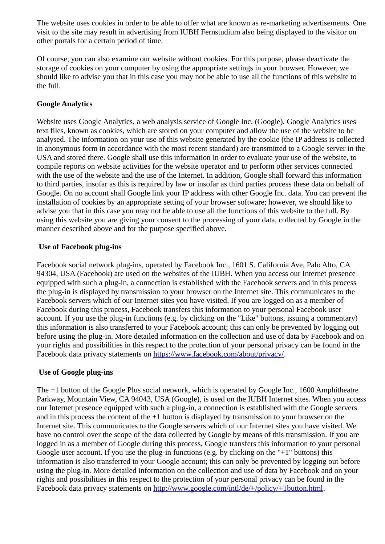The website uses cookies in order to be able to offer what are known as re-marketing advertisements. One visit to the site may result in advertising from IUBH Fernstudium also being displayed to the visitor on other portals for a certain period of time.

Of course, you can also examine our website without cookies. For this purpose, please deactivate the storage of cookies on your computer by using the appropriate settings in your browser. However, we should like to advise you that in this case you may not be able to use all the functions of this website to the full.

## **Google Analytics**

Website uses Google Analytics, a web analysis service of Google Inc. (Google). Google Analytics uses text files, known as cookies, which are stored on your computer and allow the use of the website to be analysed. The information on your use of this website generated by the cookie (the IP address is collected in anonymous form in accordance with the most recent standard) are transmitted to a Google server in the USA and stored there. Google shall use this information in order to evaluate your use of the website, to compile reports on website activities for the website operator and to perform other services connected with the use of the website and the use of the Internet. In addition, Google shall forward this information to third parties, insofar as this is required by law or insofar as third parties process these data on behalf of Google. On no account shall Google link your IP address with other Google Inc. data. You can prevent the installation of cookies by an appropriate setting of your browser software; however, we should like to advise you that in this case you may not be able to use all the functions of this website to the full. By using this website you are giving your consent to the processing of your data, collected by Google in the manner described above and for the purpose specified above.

#### **Use of Facebook plug-ins**

Facebook social network plug-ins, operated by Facebook Inc., 1601 S. California Ave, Palo Alto, CA 94304, USA (Facebook) are used on the websites of the IUBH. When you access our Internet presence equipped with such a plug-in, a connection is established with the Facebook servers and in this process the plug-in is displayed by transmission to your browser on the Internet site. This communicates to the Facebook servers which of our Internet sites you have visited. If you are logged on as a member of Facebook during this process, Facebook transfers this information to your personal Facebook user account. If you use the plug-in functions (e.g. by clicking on the "Like" buttons, issuing a commentary) this information is also transferred to your Facebook account; this can only be prevented by logging out before using the plug-in. More detailed information on the collection and use of data by Facebook and on your rights and possibilities in this respect to the protection of your personal privacy can be found in the Facebook data privacy statements on [https://www.facebook.com/about/privacy/.](https://www.facebook.com/about/privacy/)

#### **Use of Google plug-ins**

The +1 button of the Google Plus social network, which is operated by Google Inc., 1600 Amphitheatre Parkway, Mountain View, CA 94043, USA (Google), is used on the IUBH Internet sites. When you access our Internet presence equipped with such a plug-in, a connection is established with the Google servers and in this process the content of the +1 button is displayed by transmission to your browser on the Internet site. This communicates to the Google servers which of our Internet sites you have visited. We have no control over the scope of the data collected by Google by means of this transmission. If you are logged in as a member of Google during this process, Google transfers this information to your personal Google user account. If you use the plug-in functions (e.g. by clicking on the "+1" buttons) this information is also transferred to your Google account; this can only be prevented by logging out before using the plug-in. More detailed information on the collection and use of data by Facebook and on your rights and possibilities in this respect to the protection of your personal privacy can be found in the Facebook data privacy statements on [http://www.google.com/intl/de/+/policy/+1button.html.](http://www.google.com/intl/de/+/policy/+1button.html)